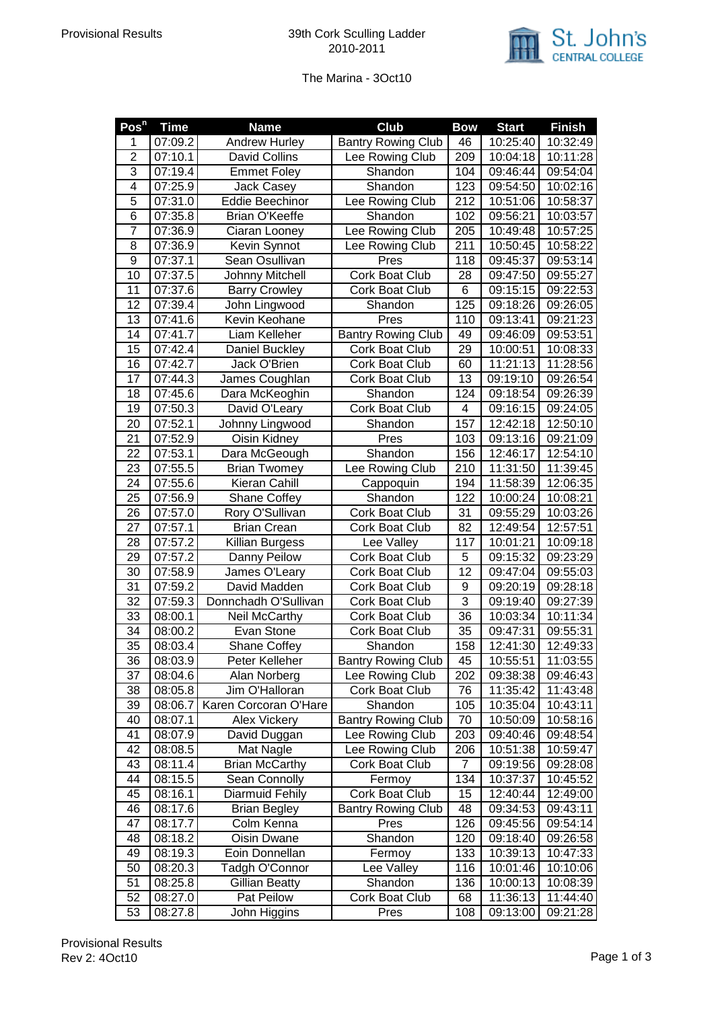

## The Marina - 3Oct10

| Pos <sup>n</sup> | <b>Time</b>           | <b>Name</b>            | <b>Club</b>               | <b>Bow</b>       | <b>Start</b> | <b>Finish</b> |
|------------------|-----------------------|------------------------|---------------------------|------------------|--------------|---------------|
| 1                | 07:09.2               | <b>Andrew Hurley</b>   | <b>Bantry Rowing Club</b> | 46               | 10:25:40     | 10:32:49      |
| $\overline{2}$   | 07:10.1               | <b>David Collins</b>   | Lee Rowing Club           | $\overline{209}$ | 10:04:18     | 10:11:28      |
| $\overline{3}$   | 07:19.4               | <b>Emmet Foley</b>     | Shandon                   | 104              | 09:46:44     | 09:54:04      |
| $\overline{4}$   | 07:25.9               | <b>Jack Casey</b>      | Shandon                   | 123              | 09:54:50     | 10:02:16      |
| $\overline{5}$   | 07:31.0               | <b>Eddie Beechinor</b> | Lee Rowing Club           | 212              | 10:51:06     | 10:58:37      |
| $\overline{6}$   | 07:35.8               | Brian O'Keeffe         | Shandon                   | 102              | 09:56:21     | 10:03:57      |
| $\overline{7}$   | 07:36.9               | Ciaran Looney          | Lee Rowing Club           | 205              | 10:49:48     | 10:57:25      |
| 8                | 07:36.9               | Kevin Synnot           | Lee Rowing Club           | 211              | 10:50:45     | 10:58:22      |
| 9                | 07:37.1               | Sean Osullivan         | Pres                      | 118              | 09:45:37     | 09:53:14      |
| 10               | $\overline{07}$ :37.5 | Johnny Mitchell        | Cork Boat Club            | 28               | 09:47:50     | 09:55:27      |
| 11               | 07:37.6               | <b>Barry Crowley</b>   | Cork Boat Club            | 6                | 09:15:15     | 09:22:53      |
| 12               | 07:39.4               | John Lingwood          | Shandon                   | 125              | 09:18:26     | 09:26:05      |
| 13               | 07:41.6               | Kevin Keohane          | Pres                      | 110              | 09:13:41     | 09:21:23      |
| 14               | 07:41.7               | Liam Kelleher          | <b>Bantry Rowing Club</b> | 49               | 09:46:09     | 09:53:51      |
| 15               | 07:42.4               | Daniel Buckley         | Cork Boat Club            | 29               | 10:00:51     | 10:08:33      |
| 16               | 07:42.7               | Jack O'Brien           | Cork Boat Club            | 60               | 11:21:13     | 11:28:56      |
| 17               | 07:44.3               | James Coughlan         | Cork Boat Club            | 13               | 09:19:10     | 09:26:54      |
| 18               | 07:45.6               | Dara McKeoghin         | Shandon                   | 124              | 09:18:54     | 09:26:39      |
| 19               | 07:50.3               | David O'Leary          | Cork Boat Club            | 4                | 09:16:15     | 09:24:05      |
| 20               | 07:52.1               | Johnny Lingwood        | Shandon                   | 157              | 12:42:18     | 12:50:10      |
| 21               | 07:52.9               | Oisin Kidney           | Pres                      | 103              | 09:13:16     | 09:21:09      |
| 22               | 07:53.1               | Dara McGeough          | Shandon                   | 156              | 12:46:17     | 12:54:10      |
| 23               | 07:55.5               | <b>Brian Twomey</b>    | Lee Rowing Club           | 210              | 11:31:50     | 11:39:45      |
| 24               | 07:55.6               | Kieran Cahill          | Cappoquin                 | 194              | 11:58:39     | 12:06:35      |
| 25               | 07:56.9               | Shane Coffey           | Shandon                   | 122              | 10:00:24     | 10:08:21      |
| 26               | 07:57.0               | Rory O'Sullivan        | Cork Boat Club            | 31               | 09:55:29     | 10:03:26      |
| 27               | 07:57.1               | <b>Brian Crean</b>     | Cork Boat Club            | 82               | 12:49:54     | 12:57:51      |
| 28               | $\overline{07:}57.2$  | Killian Burgess        | Lee Valley                | 117              | 10:01:21     | 10:09:18      |
| 29               | 07:57.2               | Danny Peilow           | Cork Boat Club            | 5                | 09:15:32     | 09:23:29      |
| 30               | 07:58.9               | James O'Leary          | Cork Boat Club            | 12               | 09:47:04     | 09:55:03      |
| 31               | 07:59.2               | David Madden           | Cork Boat Club            | 9                | 09:20:19     | 09:28:18      |
| $\overline{32}$  | 07:59.3               | Donnchadh O'Sullivan   | Cork Boat Club            | $\overline{3}$   | 09:19:40     | 09:27:39      |
| 33               | 08:00.1               | Neil McCarthy          | Cork Boat Club            | $\overline{36}$  | 10:03:34     | 10:11:34      |
| 34               | 08:00.2               | Evan Stone             | Cork Boat Club            | 35               | 09:47:31     | 09:55:31      |
| $\overline{35}$  | 08:03.4               | <b>Shane Coffey</b>    | Shandon                   | 158              | 12:41:30     | 12:49:33      |
| 36               | 08:03.9               | Peter Kelleher         | <b>Bantry Rowing Club</b> | 45               | 10:55:51     | 11:03:55      |
| 37               | 08:04.6               | Alan Norberg           | Lee Rowing Club           | 202              | 09:38:38     | 09:46:43      |
| 38               | 08:05.8               | Jim O'Halloran         | Cork Boat Club            | 76               | 11:35:42     | 11:43:48      |
| 39               | 08:06.7               | Karen Corcoran O'Hare  | Shandon                   | 105              | 10:35:04     | 10:43:11      |
| 40               | 08:07.1               | Alex Vickery           | <b>Bantry Rowing Club</b> | 70               | 10:50:09     | 10:58:16      |
| 41               | 08:07.9               | David Duggan           | Lee Rowing Club           | 203              | 09:40:46     | 09:48:54      |
| 42               | 08:08.5               | Mat Nagle              | Lee Rowing Club           | 206              | 10:51:38     | 10:59:47      |
| 43               | 08:11.4               | <b>Brian McCarthy</b>  | Cork Boat Club            | 7                | 09:19:56     | 09:28:08      |
| 44               | 08:15.5               | Sean Connolly          | Fermoy                    | 134              | 10:37:37     | 10:45:52      |
| 45               | 08:16.1               | Diarmuid Fehily        | Cork Boat Club            | 15               | 12:40:44     | 12:49:00      |
| 46               | 08:17.6               | <b>Brian Begley</b>    | <b>Bantry Rowing Club</b> | 48               | 09:34:53     | 09:43:11      |
| 47               | 08:17.7               | Colm Kenna             | Pres                      | 126              | 09:45:56     | 09:54:14      |
| 48               | 08:18.2               | Oisin Dwane            | Shandon                   | 120              | 09:18:40     | 09:26:58      |
| 49               | 08:19.3               | Eoin Donnellan         | Fermoy                    | 133              | 10:39:13     | 10:47:33      |
| 50               | 08:20.3               | Tadgh O'Connor         | Lee Valley                | 116              | 10:01:46     | 10:10:06      |
| 51               | 08:25.8               | <b>Gillian Beatty</b>  | Shandon                   | 136              | 10:00:13     | 10:08:39      |
| 52               | 08:27.0               | Pat Peilow             | Cork Boat Club            | 68               | 11:36:13     | 11:44:40      |
| 53               | 08:27.8               | John Higgins           | Pres                      | 108              | 09:13:00     | 09:21:28      |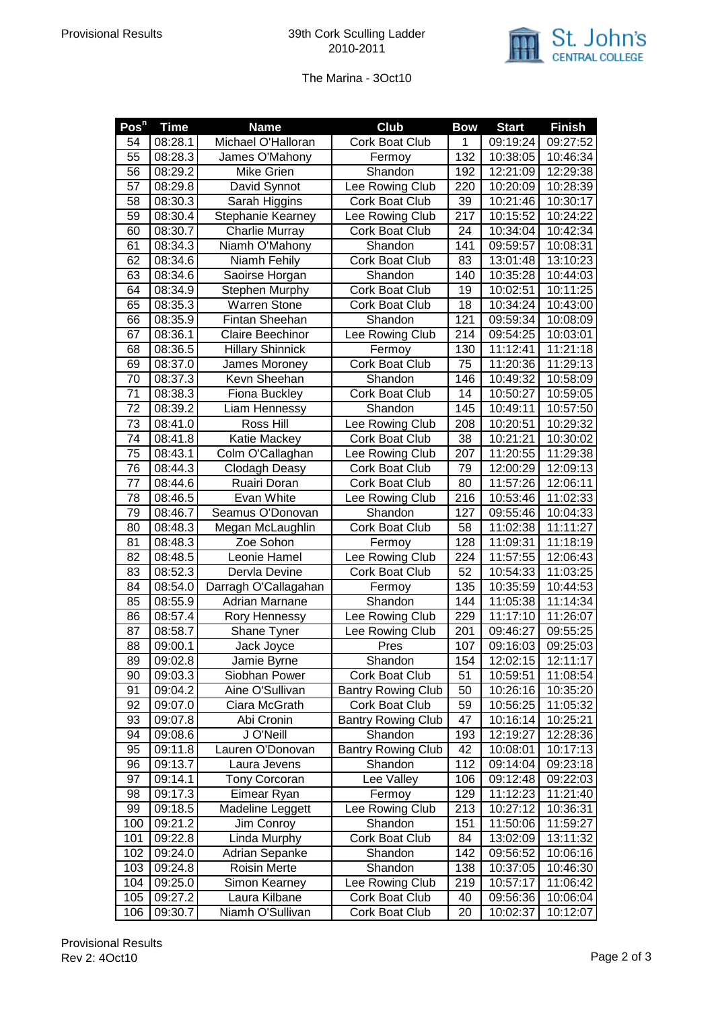

## The Marina - 3Oct10

| $\overline{\mathsf{Pos}^{\mathsf{n}}}$ | <b>Time</b>        | <b>Name</b>                   | <b>Club</b>                       | <b>Bow</b> | <b>Start</b>         | <b>Finish</b>        |
|----------------------------------------|--------------------|-------------------------------|-----------------------------------|------------|----------------------|----------------------|
| 54                                     | 08:28.1            | Michael O'Halloran            | Cork Boat Club                    | 1          | 09:19:24             | 09:27:52             |
| $\overline{55}$                        | 08:28.3            | James O'Mahony                | Fermoy                            | 132        | 10:38:05             | 10:46:34             |
| 56                                     | 08:29.2            | Mike Grien                    | Shandon                           | 192        | 12:21:09             | 12:29:38             |
| 57                                     | 08:29.8            | David Synnot                  | Lee Rowing Club                   | 220        | 10:20:09             | 10:28:39             |
| 58                                     | 08:30.3            | <b>Sarah Higgins</b>          | Cork Boat Club                    | 39         | 10:21:46             | 10:30:17             |
| 59                                     | 08:30.4            | Stephanie Kearney             | Lee Rowing Club                   | 217        | 10:15:52             | 10:24:22             |
| 60                                     | 08:30.7            | Charlie Murray                | Cork Boat Club                    | 24         | 10:34:04             | 10:42:34             |
| 61                                     | 08:34.3            | Niamh O'Mahony                | Shandon                           | 141        | 09:59:57             | 10:08:31             |
| 62                                     | 08:34.6            | Niamh Fehily                  | Cork Boat Club                    | 83         | 13:01:48             | 13:10:23             |
| 63                                     | 08:34.6            | Saoirse Horgan                | Shandon                           | 140        | 10:35:28             | 10:44:03             |
| 64                                     | 08:34.9            | Stephen Murphy                | Cork Boat Club                    | 19         | 10:02:51             | 10:11:25             |
| 65                                     | 08:35.3            | <b>Warren Stone</b>           | Cork Boat Club                    | 18         | 10:34:24             | 10:43:00             |
| 66                                     | 08:35.9            | Fintan Sheehan                | Shandon                           | 121        | 09:59:34             | 10:08:09             |
| 67                                     | 08:36.1            | Claire Beechinor              | Lee Rowing Club                   | 214        | 09:54:25             | 10:03:01             |
| 68                                     | 08:36.5            | <b>Hillary Shinnick</b>       | Fermoy                            | 130        | 11:12:41             | 11:21:18             |
| 69                                     | 08:37.0            | James Moroney                 | Cork Boat Club                    | 75         | 11:20:36             | 11:29:13             |
| 70                                     | 08:37.3            | Kevn Sheehan                  | Shandon                           | 146        | 10:49:32             | 10:58:09             |
| 71                                     | 08:38.3            | Fiona Buckley                 | Cork Boat Club                    | 14         | 10:50:27             | 10:59:05             |
| 72                                     | 08:39.2            | Liam Hennessy                 | Shandon                           | 145        | 10:49:11             | 10:57:50             |
| 73                                     | 08:41.0            | Ross Hill                     | Lee Rowing Club                   | 208        | 10:20:51             | 10:29:32             |
| 74                                     | 08:41.8            | Katie Mackey                  | Cork Boat Club                    | 38         | 10:21:21             | 10:30:02             |
| 75                                     | 08:43.1            | Colm O'Callaghan              | Lee Rowing Club                   | 207        | 11:20:55             | 11:29:38             |
| 76                                     | 08:44.3            | Clodagh Deasy                 | Cork Boat Club                    | 79         | 12:00:29             | 12:09:13             |
| 77                                     | 08:44.6            | Ruairi Doran                  | Cork Boat Club                    | 80         | 11:57:26             | 12:06:11             |
| 78                                     | 08:46.5            | Evan White                    | Lee Rowing Club                   | 216        | 10:53:46             | 11:02:33             |
| 79                                     | 08:46.7            | Seamus O'Donovan              | Shandon                           | 127        | 09:55:46             | 10:04:33             |
| 80                                     | 08:48.3            | Megan McLaughlin              | Cork Boat Club                    | 58         | 11:02:38             | 11:11:27             |
| 81                                     | 08:48.3            | Zoe Sohon                     | Fermoy                            | 128        | 11:09:31             | 11:18:19             |
| 82                                     | 08:48.5            | Leonie Hamel                  | Lee Rowing Club                   | 224        | 11:57:55             | 12:06:43             |
| 83                                     | 08:52.3            | Dervla Devine                 | Cork Boat Club                    | 52         | 10:54:33             | 11:03:25             |
| 84                                     | 08:54.0            | Darragh O'Callagahan          | Fermoy                            | 135        | 10:35:59             | 10:44:53             |
| 85                                     | 08:55.9            | Adrian Marnane                | Shandon                           | 144        | 11:05:38             | 11:14:34             |
| 86                                     | 08:57.4            | Rory Hennessy                 | Lee Rowing Club                   | 229        | 11:17:10             | 11:26:07             |
| 87                                     | 08:58.7            | Shane Tyner                   | Lee Rowing Club                   | 201        | 09:46:27             | 09:55:25             |
| 88                                     | 09:00.1            | Jack Joyce                    | Pres                              | 107        | 09:16:03             | 09:25:03             |
| 89                                     | 09:02.8            | Jamie Byrne                   | Shandon                           | 154        | 12:02:15             | 12:11:17             |
| 90                                     | 09:03.3            | Siobhan Power                 | Cork Boat Club                    | 51         | 10:59:51             | 11:08:54             |
| 91                                     | 09:04.2            | Aine O'Sullivan               | <b>Bantry Rowing Club</b>         | 50         | 10:26:16             | 10:35:20             |
| 92                                     | 09:07.0            | Ciara McGrath                 | Cork Boat Club                    | 59         | 10:56:25             | 11:05:32             |
| 93                                     | 09:07.8            | Abi Cronin                    | <b>Bantry Rowing Club</b>         | 47         | 10:16:14             | 10:25:21             |
| 94                                     | 09:08.6            | J O'Neill                     | Shandon                           | 193        | 12:19:27             | 12:28:36             |
| 95                                     | 09:11.8            | Lauren O'Donovan              | <b>Bantry Rowing Club</b>         | 42         | 10:08:01             | 10:17:13             |
| 96                                     | 09:13.7            | Laura Jevens                  | Shandon                           | 112        | 09:14:04             | 09:23:18             |
| 97                                     | 09:14.1            | <b>Tony Corcoran</b>          | Lee Valley                        | 106        | 09:12:48             | 09:22:03             |
| 98                                     | 09:17.3            | Eimear Ryan                   | Fermoy                            | 129        | 11:12:23             | 11:21:40             |
| 99                                     | 09:18.5            | Madeline Leggett              | Lee Rowing Club                   | 213        | 10:27:12             | 10:36:31             |
| 100                                    | 09:21.2            | Jim Conroy                    | Shandon                           | 151        | 11:50:06             | 11:59:27             |
| 101                                    | 09:22.8            | Linda Murphy                  | Cork Boat Club                    | 84         | 13:02:09             | 13:11:32             |
| 102                                    | 09:24.0            | Adrian Sepanke                | Shandon                           | 142        | 09:56:52             | 10:06:16             |
| 103<br>104                             | 09:24.8            | Roisin Merte<br>Simon Kearney | Shandon                           | 138<br>219 | 10:37:05             | 10:46:30             |
| 105                                    | 09:25.0<br>09:27.2 | Laura Kilbane                 | Lee Rowing Club<br>Cork Boat Club | 40         | 10:57:17<br>09:56:36 | 11:06:42<br>10:06:04 |
| 106                                    | 09:30.7            | Niamh O'Sullivan              | Cork Boat Club                    | 20         | 10:02:37             | 10:12:07             |